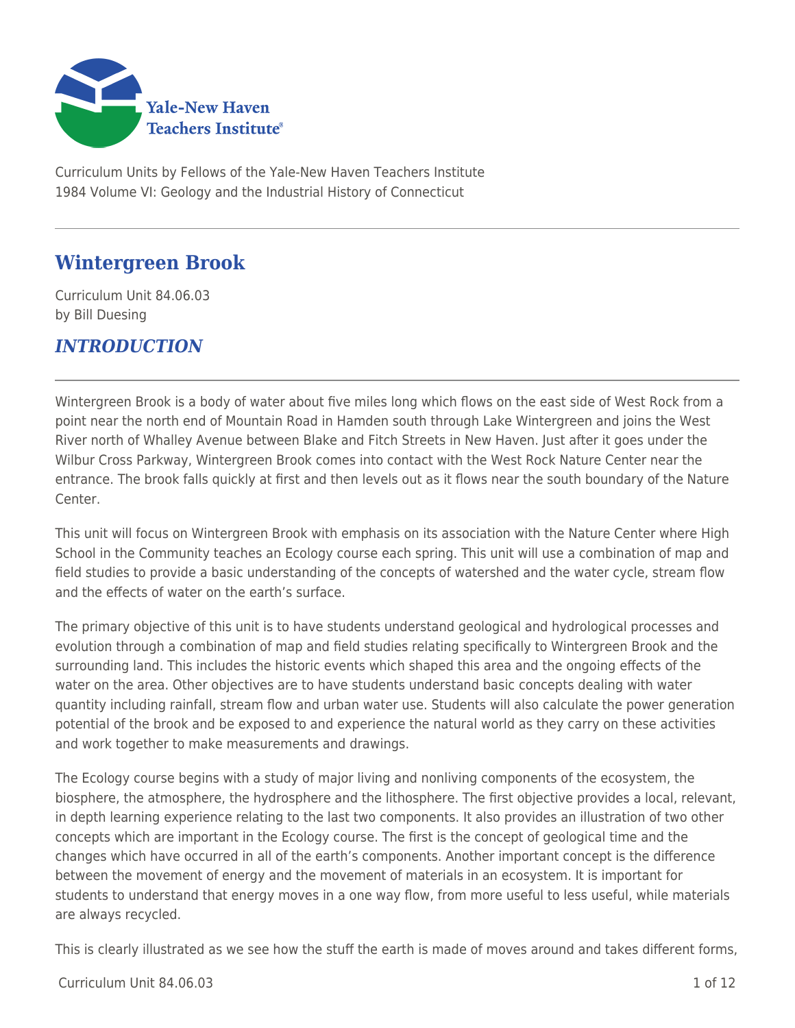

Curriculum Units by Fellows of the Yale-New Haven Teachers Institute 1984 Volume VI: Geology and the Industrial History of Connecticut

# **Wintergreen Brook**

Curriculum Unit 84.06.03 by Bill Duesing

## *INTRODUCTION*

Wintergreen Brook is a body of water about five miles long which flows on the east side of West Rock from a point near the north end of Mountain Road in Hamden south through Lake Wintergreen and joins the West River north of Whalley Avenue between Blake and Fitch Streets in New Haven. Just after it goes under the Wilbur Cross Parkway, Wintergreen Brook comes into contact with the West Rock Nature Center near the entrance. The brook falls quickly at first and then levels out as it flows near the south boundary of the Nature Center.

This unit will focus on Wintergreen Brook with emphasis on its association with the Nature Center where High School in the Community teaches an Ecology course each spring. This unit will use a combination of map and field studies to provide a basic understanding of the concepts of watershed and the water cycle, stream flow and the effects of water on the earth's surface.

The primary objective of this unit is to have students understand geological and hydrological processes and evolution through a combination of map and field studies relating specifically to Wintergreen Brook and the surrounding land. This includes the historic events which shaped this area and the ongoing effects of the water on the area. Other objectives are to have students understand basic concepts dealing with water quantity including rainfall, stream flow and urban water use. Students will also calculate the power generation potential of the brook and be exposed to and experience the natural world as they carry on these activities and work together to make measurements and drawings.

The Ecology course begins with a study of major living and nonliving components of the ecosystem, the biosphere, the atmosphere, the hydrosphere and the lithosphere. The first objective provides a local, relevant, in depth learning experience relating to the last two components. It also provides an illustration of two other concepts which are important in the Ecology course. The first is the concept of geological time and the changes which have occurred in all of the earth's components. Another important concept is the difference between the movement of energy and the movement of materials in an ecosystem. It is important for students to understand that energy moves in a one way flow, from more useful to less useful, while materials are always recycled.

This is clearly illustrated as we see how the stuff the earth is made of moves around and takes different forms,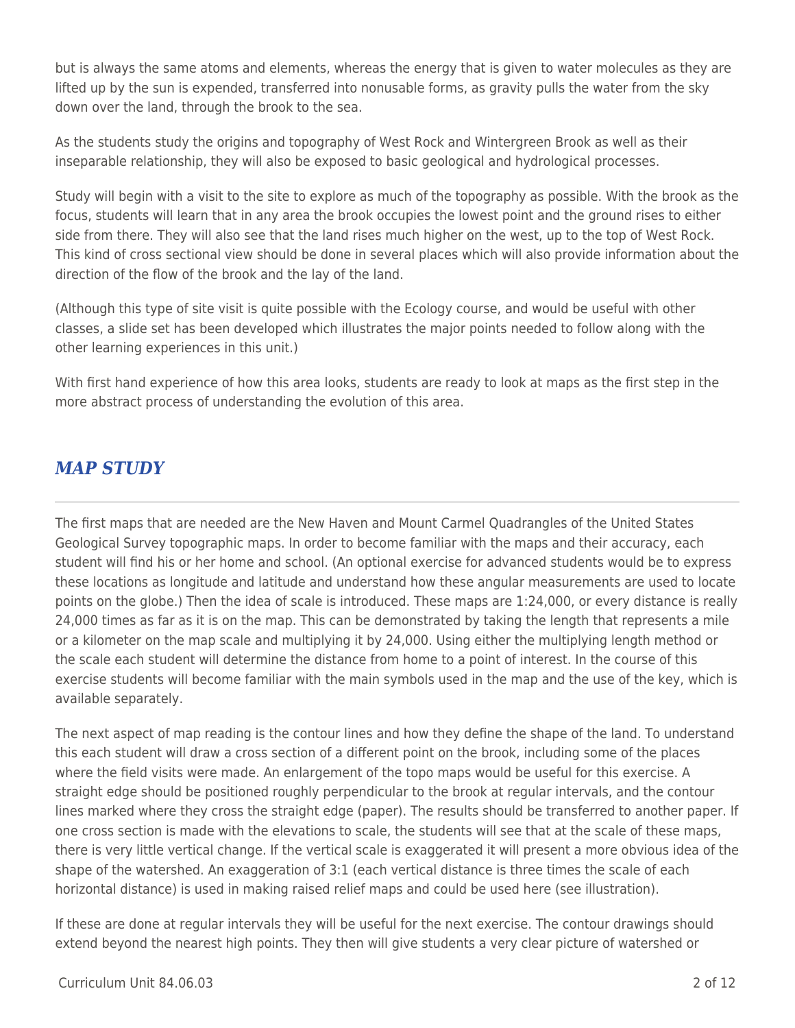but is always the same atoms and elements, whereas the energy that is given to water molecules as they are lifted up by the sun is expended, transferred into nonusable forms, as gravity pulls the water from the sky down over the land, through the brook to the sea.

As the students study the origins and topography of West Rock and Wintergreen Brook as well as their inseparable relationship, they will also be exposed to basic geological and hydrological processes.

Study will begin with a visit to the site to explore as much of the topography as possible. With the brook as the focus, students will learn that in any area the brook occupies the lowest point and the ground rises to either side from there. They will also see that the land rises much higher on the west, up to the top of West Rock. This kind of cross sectional view should be done in several places which will also provide information about the direction of the flow of the brook and the lay of the land.

(Although this type of site visit is quite possible with the Ecology course, and would be useful with other classes, a slide set has been developed which illustrates the major points needed to follow along with the other learning experiences in this unit.)

With first hand experience of how this area looks, students are ready to look at maps as the first step in the more abstract process of understanding the evolution of this area.

## *MAP STUDY*

The first maps that are needed are the New Haven and Mount Carmel Quadrangles of the United States Geological Survey topographic maps. In order to become familiar with the maps and their accuracy, each student will find his or her home and school. (An optional exercise for advanced students would be to express these locations as longitude and latitude and understand how these angular measurements are used to locate points on the globe.) Then the idea of scale is introduced. These maps are 1:24,000, or every distance is really 24,000 times as far as it is on the map. This can be demonstrated by taking the length that represents a mile or a kilometer on the map scale and multiplying it by 24,000. Using either the multiplying length method or the scale each student will determine the distance from home to a point of interest. In the course of this exercise students will become familiar with the main symbols used in the map and the use of the key, which is available separately.

The next aspect of map reading is the contour lines and how they define the shape of the land. To understand this each student will draw a cross section of a different point on the brook, including some of the places where the field visits were made. An enlargement of the topo maps would be useful for this exercise. A straight edge should be positioned roughly perpendicular to the brook at regular intervals, and the contour lines marked where they cross the straight edge (paper). The results should be transferred to another paper. If one cross section is made with the elevations to scale, the students will see that at the scale of these maps, there is very little vertical change. If the vertical scale is exaggerated it will present a more obvious idea of the shape of the watershed. An exaggeration of 3:1 (each vertical distance is three times the scale of each horizontal distance) is used in making raised relief maps and could be used here (see illustration).

If these are done at regular intervals they will be useful for the next exercise. The contour drawings should extend beyond the nearest high points. They then will give students a very clear picture of watershed or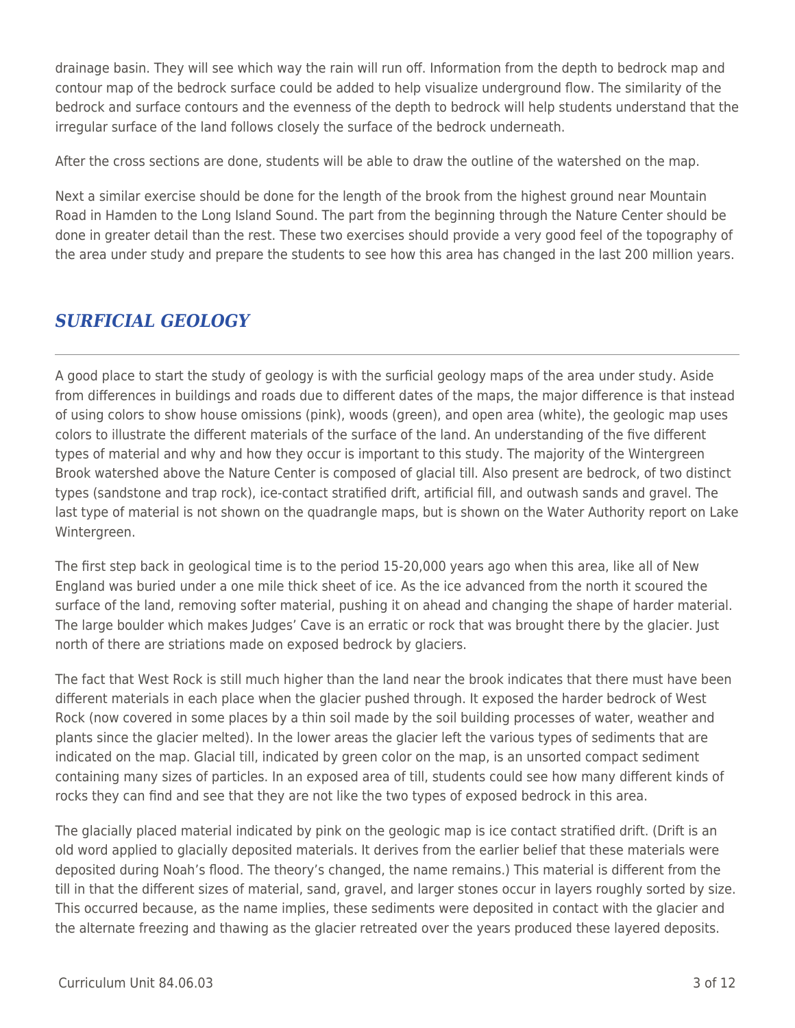drainage basin. They will see which way the rain will run off. Information from the depth to bedrock map and contour map of the bedrock surface could be added to help visualize underground flow. The similarity of the bedrock and surface contours and the evenness of the depth to bedrock will help students understand that the irregular surface of the land follows closely the surface of the bedrock underneath.

After the cross sections are done, students will be able to draw the outline of the watershed on the map.

Next a similar exercise should be done for the length of the brook from the highest ground near Mountain Road in Hamden to the Long Island Sound. The part from the beginning through the Nature Center should be done in greater detail than the rest. These two exercises should provide a very good feel of the topography of the area under study and prepare the students to see how this area has changed in the last 200 million years.

## *SURFICIAL GEOLOGY*

A good place to start the study of geology is with the surficial geology maps of the area under study. Aside from differences in buildings and roads due to different dates of the maps, the major difference is that instead of using colors to show house omissions (pink), woods (green), and open area (white), the geologic map uses colors to illustrate the different materials of the surface of the land. An understanding of the five different types of material and why and how they occur is important to this study. The majority of the Wintergreen Brook watershed above the Nature Center is composed of glacial till. Also present are bedrock, of two distinct types (sandstone and trap rock), ice-contact stratified drift, artificial fill, and outwash sands and gravel. The last type of material is not shown on the quadrangle maps, but is shown on the Water Authority report on Lake Wintergreen.

The first step back in geological time is to the period 15-20,000 years ago when this area, like all of New England was buried under a one mile thick sheet of ice. As the ice advanced from the north it scoured the surface of the land, removing softer material, pushing it on ahead and changing the shape of harder material. The large boulder which makes Judges' Cave is an erratic or rock that was brought there by the glacier. Just north of there are striations made on exposed bedrock by glaciers.

The fact that West Rock is still much higher than the land near the brook indicates that there must have been different materials in each place when the glacier pushed through. It exposed the harder bedrock of West Rock (now covered in some places by a thin soil made by the soil building processes of water, weather and plants since the glacier melted). In the lower areas the glacier left the various types of sediments that are indicated on the map. Glacial till, indicated by green color on the map, is an unsorted compact sediment containing many sizes of particles. In an exposed area of till, students could see how many different kinds of rocks they can find and see that they are not like the two types of exposed bedrock in this area.

The glacially placed material indicated by pink on the geologic map is ice contact stratified drift. (Drift is an old word applied to glacially deposited materials. It derives from the earlier belief that these materials were deposited during Noah's flood. The theory's changed, the name remains.) This material is different from the till in that the different sizes of material, sand, gravel, and larger stones occur in layers roughly sorted by size. This occurred because, as the name implies, these sediments were deposited in contact with the glacier and the alternate freezing and thawing as the glacier retreated over the years produced these layered deposits.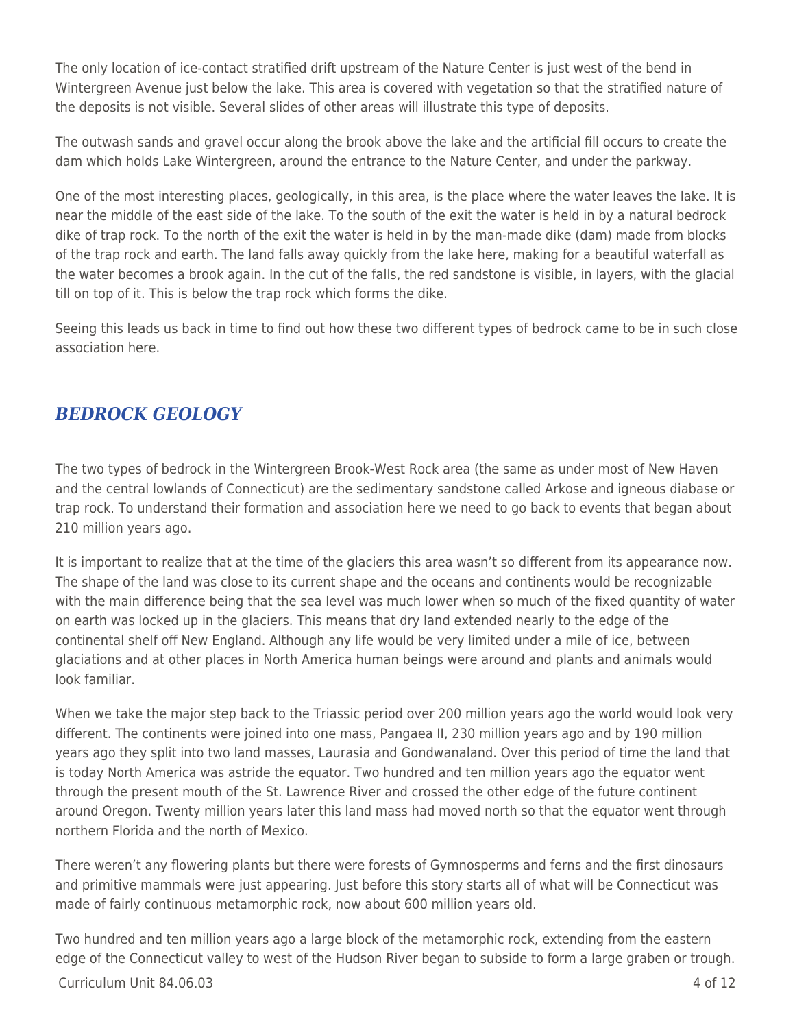The only location of ice-contact stratified drift upstream of the Nature Center is just west of the bend in Wintergreen Avenue just below the lake. This area is covered with vegetation so that the stratified nature of the deposits is not visible. Several slides of other areas will illustrate this type of deposits.

The outwash sands and gravel occur along the brook above the lake and the artificial fill occurs to create the dam which holds Lake Wintergreen, around the entrance to the Nature Center, and under the parkway.

One of the most interesting places, geologically, in this area, is the place where the water leaves the lake. It is near the middle of the east side of the lake. To the south of the exit the water is held in by a natural bedrock dike of trap rock. To the north of the exit the water is held in by the man-made dike (dam) made from blocks of the trap rock and earth. The land falls away quickly from the lake here, making for a beautiful waterfall as the water becomes a brook again. In the cut of the falls, the red sandstone is visible, in layers, with the glacial till on top of it. This is below the trap rock which forms the dike.

Seeing this leads us back in time to find out how these two different types of bedrock came to be in such close association here.

### *BEDROCK GEOLOGY*

The two types of bedrock in the Wintergreen Brook-West Rock area (the same as under most of New Haven and the central lowlands of Connecticut) are the sedimentary sandstone called Arkose and igneous diabase or trap rock. To understand their formation and association here we need to go back to events that began about 210 million years ago.

It is important to realize that at the time of the glaciers this area wasn't so different from its appearance now. The shape of the land was close to its current shape and the oceans and continents would be recognizable with the main difference being that the sea level was much lower when so much of the fixed quantity of water on earth was locked up in the glaciers. This means that dry land extended nearly to the edge of the continental shelf off New England. Although any life would be very limited under a mile of ice, between glaciations and at other places in North America human beings were around and plants and animals would look familiar.

When we take the major step back to the Triassic period over 200 million years ago the world would look very different. The continents were joined into one mass, Pangaea II, 230 million years ago and by 190 million years ago they split into two land masses, Laurasia and Gondwanaland. Over this period of time the land that is today North America was astride the equator. Two hundred and ten million years ago the equator went through the present mouth of the St. Lawrence River and crossed the other edge of the future continent around Oregon. Twenty million years later this land mass had moved north so that the equator went through northern Florida and the north of Mexico.

There weren't any flowering plants but there were forests of Gymnosperms and ferns and the first dinosaurs and primitive mammals were just appearing. Just before this story starts all of what will be Connecticut was made of fairly continuous metamorphic rock, now about 600 million years old.

 $C$ urriculum Unit 84.06.03  $\qquad$  4 of 12 Two hundred and ten million years ago a large block of the metamorphic rock, extending from the eastern edge of the Connecticut valley to west of the Hudson River began to subside to form a large graben or trough.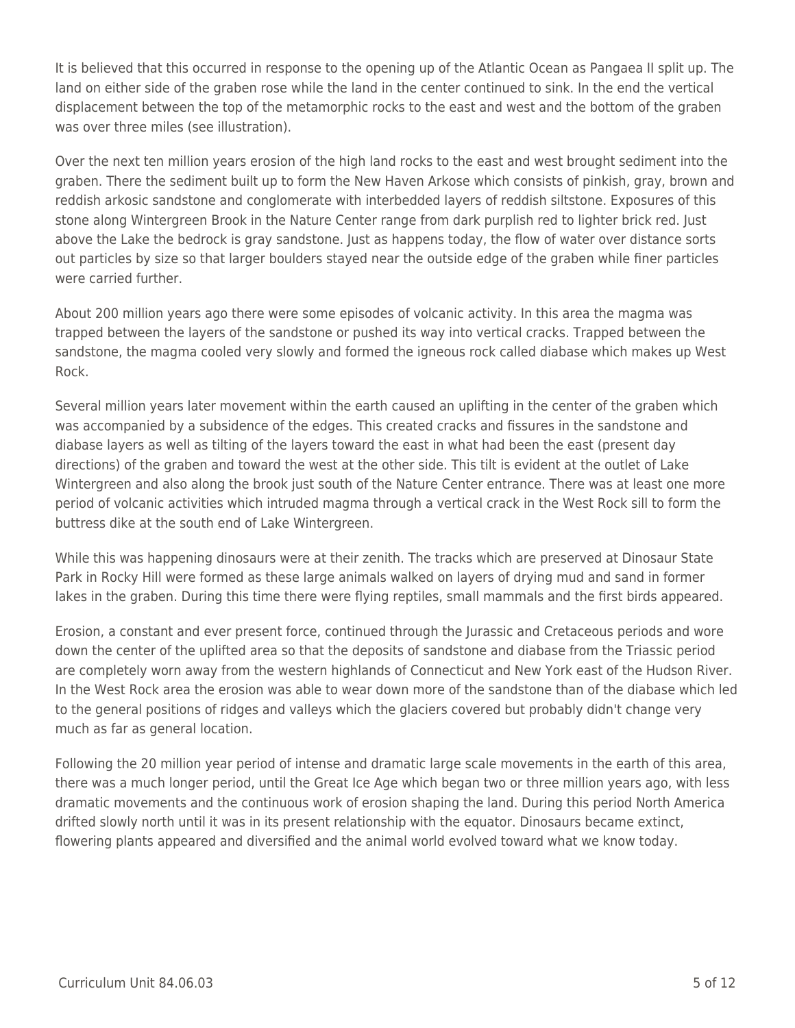It is believed that this occurred in response to the opening up of the Atlantic Ocean as Pangaea II split up. The land on either side of the graben rose while the land in the center continued to sink. In the end the vertical displacement between the top of the metamorphic rocks to the east and west and the bottom of the graben was over three miles (see illustration).

Over the next ten million years erosion of the high land rocks to the east and west brought sediment into the graben. There the sediment built up to form the New Haven Arkose which consists of pinkish, gray, brown and reddish arkosic sandstone and conglomerate with interbedded layers of reddish siltstone. Exposures of this stone along Wintergreen Brook in the Nature Center range from dark purplish red to lighter brick red. Just above the Lake the bedrock is gray sandstone. Just as happens today, the flow of water over distance sorts out particles by size so that larger boulders stayed near the outside edge of the graben while finer particles were carried further.

About 200 million years ago there were some episodes of volcanic activity. In this area the magma was trapped between the layers of the sandstone or pushed its way into vertical cracks. Trapped between the sandstone, the magma cooled very slowly and formed the igneous rock called diabase which makes up West Rock.

Several million years later movement within the earth caused an uplifting in the center of the graben which was accompanied by a subsidence of the edges. This created cracks and fissures in the sandstone and diabase layers as well as tilting of the layers toward the east in what had been the east (present day directions) of the graben and toward the west at the other side. This tilt is evident at the outlet of Lake Wintergreen and also along the brook just south of the Nature Center entrance. There was at least one more period of volcanic activities which intruded magma through a vertical crack in the West Rock sill to form the buttress dike at the south end of Lake Wintergreen.

While this was happening dinosaurs were at their zenith. The tracks which are preserved at Dinosaur State Park in Rocky Hill were formed as these large animals walked on layers of drying mud and sand in former lakes in the graben. During this time there were flying reptiles, small mammals and the first birds appeared.

Erosion, a constant and ever present force, continued through the Jurassic and Cretaceous periods and wore down the center of the uplifted area so that the deposits of sandstone and diabase from the Triassic period are completely worn away from the western highlands of Connecticut and New York east of the Hudson River. In the West Rock area the erosion was able to wear down more of the sandstone than of the diabase which led to the general positions of ridges and valleys which the glaciers covered but probably didn't change very much as far as general location.

Following the 20 million year period of intense and dramatic large scale movements in the earth of this area, there was a much longer period, until the Great Ice Age which began two or three million years ago, with less dramatic movements and the continuous work of erosion shaping the land. During this period North America drifted slowly north until it was in its present relationship with the equator. Dinosaurs became extinct, flowering plants appeared and diversified and the animal world evolved toward what we know today.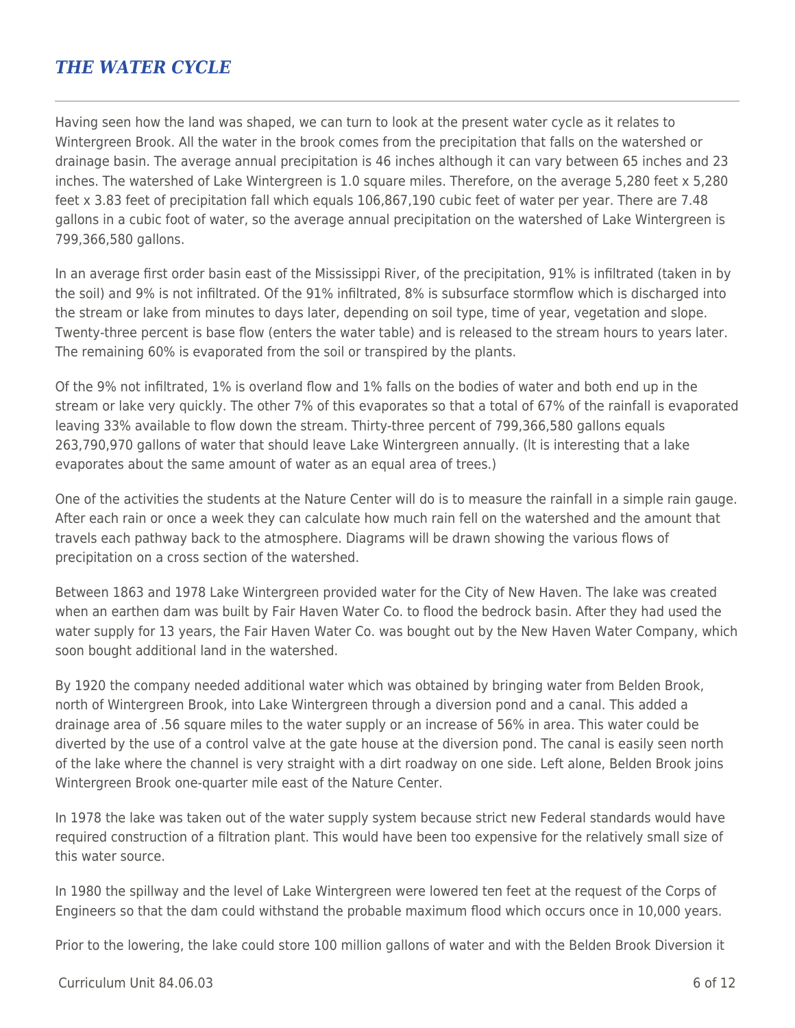### *THE WATER CYCLE*

Having seen how the land was shaped, we can turn to look at the present water cycle as it relates to Wintergreen Brook. All the water in the brook comes from the precipitation that falls on the watershed or drainage basin. The average annual precipitation is 46 inches although it can vary between 65 inches and 23 inches. The watershed of Lake Wintergreen is 1.0 square miles. Therefore, on the average 5,280 feet x 5,280 feet x 3.83 feet of precipitation fall which equals 106,867,190 cubic feet of water per year. There are 7.48 gallons in a cubic foot of water, so the average annual precipitation on the watershed of Lake Wintergreen is 799,366,580 gallons.

In an average first order basin east of the Mississippi River, of the precipitation, 91% is infiltrated (taken in by the soil) and 9% is not infiltrated. Of the 91% infiltrated, 8% is subsurface stormflow which is discharged into the stream or lake from minutes to days later, depending on soil type, time of year, vegetation and slope. Twenty-three percent is base flow (enters the water table) and is released to the stream hours to years later. The remaining 60% is evaporated from the soil or transpired by the plants.

Of the 9% not infiltrated, 1% is overland flow and 1% falls on the bodies of water and both end up in the stream or lake very quickly. The other 7% of this evaporates so that a total of 67% of the rainfall is evaporated leaving 33% available to flow down the stream. Thirty-three percent of 799,366,580 gallons equals 263,790,970 gallons of water that should leave Lake Wintergreen annually. (lt is interesting that a lake evaporates about the same amount of water as an equal area of trees.)

One of the activities the students at the Nature Center will do is to measure the rainfall in a simple rain gauge. After each rain or once a week they can calculate how much rain fell on the watershed and the amount that travels each pathway back to the atmosphere. Diagrams will be drawn showing the various flows of precipitation on a cross section of the watershed.

Between 1863 and 1978 Lake Wintergreen provided water for the City of New Haven. The lake was created when an earthen dam was built by Fair Haven Water Co. to flood the bedrock basin. After they had used the water supply for 13 years, the Fair Haven Water Co. was bought out by the New Haven Water Company, which soon bought additional land in the watershed.

By 1920 the company needed additional water which was obtained by bringing water from Belden Brook, north of Wintergreen Brook, into Lake Wintergreen through a diversion pond and a canal. This added a drainage area of .56 square miles to the water supply or an increase of 56% in area. This water could be diverted by the use of a control valve at the gate house at the diversion pond. The canal is easily seen north of the lake where the channel is very straight with a dirt roadway on one side. Left alone, Belden Brook joins Wintergreen Brook one-quarter mile east of the Nature Center.

In 1978 the lake was taken out of the water supply system because strict new Federal standards would have required construction of a filtration plant. This would have been too expensive for the relatively small size of this water source.

In 1980 the spillway and the level of Lake Wintergreen were lowered ten feet at the request of the Corps of Engineers so that the dam could withstand the probable maximum flood which occurs once in 10,000 years.

Prior to the lowering, the lake could store 100 million gallons of water and with the Belden Brook Diversion it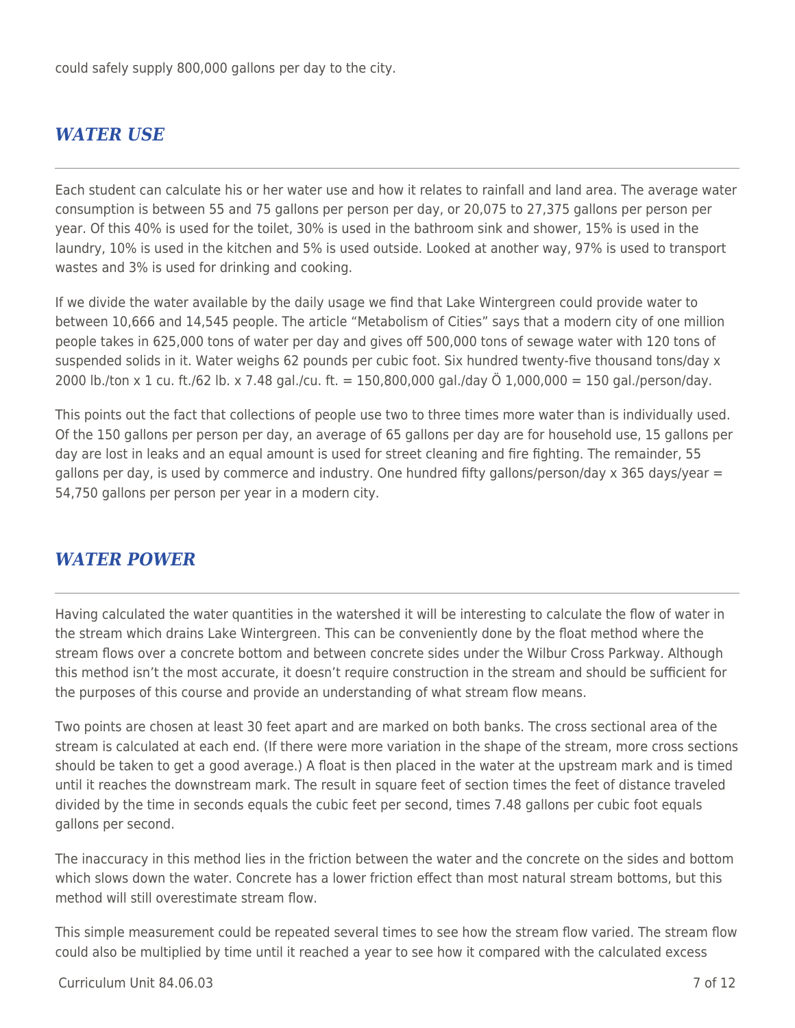could safely supply 800,000 gallons per day to the city.

### *WATER USE*

Each student can calculate his or her water use and how it relates to rainfall and land area. The average water consumption is between 55 and 75 gallons per person per day, or 20,075 to 27,375 gallons per person per year. Of this 40% is used for the toilet, 30% is used in the bathroom sink and shower, 15% is used in the laundry, 10% is used in the kitchen and 5% is used outside. Looked at another way, 97% is used to transport wastes and 3% is used for drinking and cooking.

If we divide the water available by the daily usage we find that Lake Wintergreen could provide water to between 10,666 and 14,545 people. The article "Metabolism of Cities" says that a modern city of one million people takes in 625,000 tons of water per day and gives off 500,000 tons of sewage water with 120 tons of suspended solids in it. Water weighs 62 pounds per cubic foot. Six hundred twenty-five thousand tons/day x 2000 lb./ton x 1 cu. ft./62 lb. x 7.48 gal./cu. ft. = 150,800,000 gal./day Ö 1,000,000 = 150 gal./person/day.

This points out the fact that collections of people use two to three times more water than is individually used. Of the 150 gallons per person per day, an average of 65 gallons per day are for household use, 15 gallons per day are lost in leaks and an equal amount is used for street cleaning and fire fighting. The remainder, 55 gallons per day, is used by commerce and industry. One hundred fifty gallons/person/day x 365 days/year = 54,750 gallons per person per year in a modern city.

#### *WATER POWER*

Having calculated the water quantities in the watershed it will be interesting to calculate the flow of water in the stream which drains Lake Wintergreen. This can be conveniently done by the float method where the stream flows over a concrete bottom and between concrete sides under the Wilbur Cross Parkway. Although this method isn't the most accurate, it doesn't require construction in the stream and should be sufficient for the purposes of this course and provide an understanding of what stream flow means.

Two points are chosen at least 30 feet apart and are marked on both banks. The cross sectional area of the stream is calculated at each end. (If there were more variation in the shape of the stream, more cross sections should be taken to get a good average.) A float is then placed in the water at the upstream mark and is timed until it reaches the downstream mark. The result in square feet of section times the feet of distance traveled divided by the time in seconds equals the cubic feet per second, times 7.48 gallons per cubic foot equals gallons per second.

The inaccuracy in this method lies in the friction between the water and the concrete on the sides and bottom which slows down the water. Concrete has a lower friction effect than most natural stream bottoms, but this method will still overestimate stream flow.

This simple measurement could be repeated several times to see how the stream flow varied. The stream flow could also be multiplied by time until it reached a year to see how it compared with the calculated excess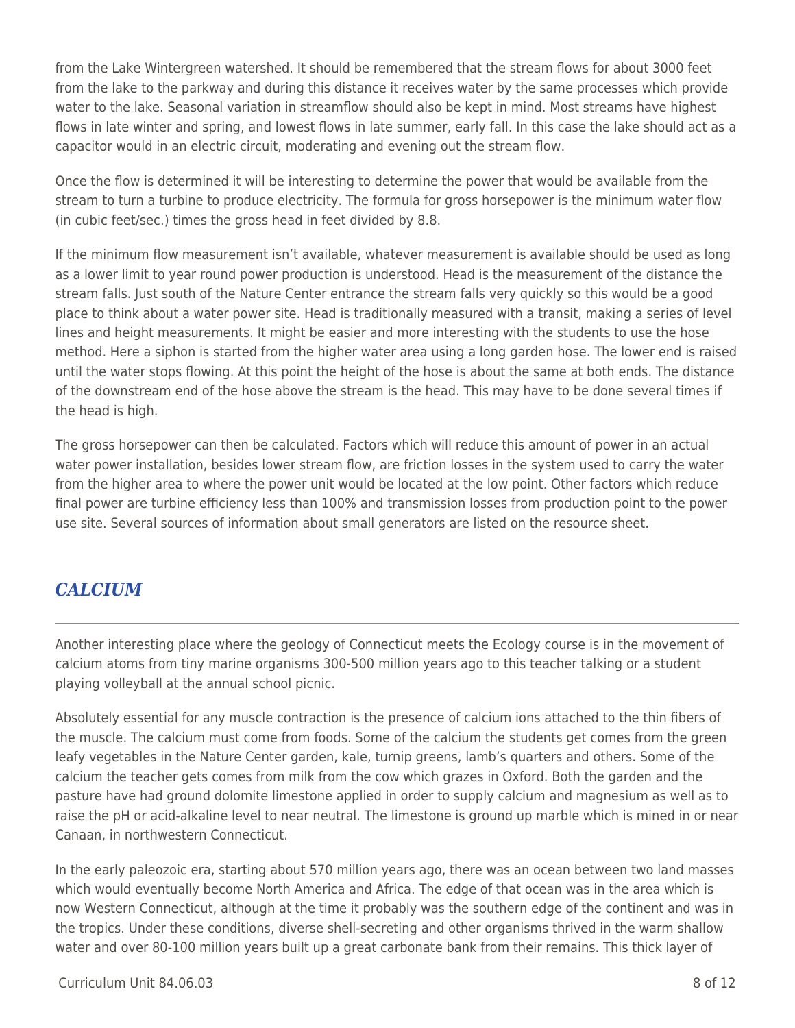from the Lake Wintergreen watershed. It should be remembered that the stream flows for about 3000 feet from the lake to the parkway and during this distance it receives water by the same processes which provide water to the lake. Seasonal variation in streamflow should also be kept in mind. Most streams have highest flows in late winter and spring, and lowest flows in late summer, early fall. In this case the lake should act as a capacitor would in an electric circuit, moderating and evening out the stream flow.

Once the flow is determined it will be interesting to determine the power that would be available from the stream to turn a turbine to produce electricity. The formula for gross horsepower is the minimum water flow (in cubic feet/sec.) times the gross head in feet divided by 8.8.

If the minimum flow measurement isn't available, whatever measurement is available should be used as long as a lower limit to year round power production is understood. Head is the measurement of the distance the stream falls. Just south of the Nature Center entrance the stream falls very quickly so this would be a good place to think about a water power site. Head is traditionally measured with a transit, making a series of level lines and height measurements. It might be easier and more interesting with the students to use the hose method. Here a siphon is started from the higher water area using a long garden hose. The lower end is raised until the water stops flowing. At this point the height of the hose is about the same at both ends. The distance of the downstream end of the hose above the stream is the head. This may have to be done several times if the head is high.

The gross horsepower can then be calculated. Factors which will reduce this amount of power in an actual water power installation, besides lower stream flow, are friction losses in the system used to carry the water from the higher area to where the power unit would be located at the low point. Other factors which reduce final power are turbine efficiency less than 100% and transmission losses from production point to the power use site. Several sources of information about small generators are listed on the resource sheet.

## *CALCIUM*

Another interesting place where the geology of Connecticut meets the Ecology course is in the movement of calcium atoms from tiny marine organisms 300-500 million years ago to this teacher talking or a student playing volleyball at the annual school picnic.

Absolutely essential for any muscle contraction is the presence of calcium ions attached to the thin fibers of the muscle. The calcium must come from foods. Some of the calcium the students get comes from the green leafy vegetables in the Nature Center garden, kale, turnip greens, lamb's quarters and others. Some of the calcium the teacher gets comes from milk from the cow which grazes in Oxford. Both the garden and the pasture have had ground dolomite limestone applied in order to supply calcium and magnesium as well as to raise the pH or acid-alkaline level to near neutral. The limestone is ground up marble which is mined in or near Canaan, in northwestern Connecticut.

In the early paleozoic era, starting about 570 million years ago, there was an ocean between two land masses which would eventually become North America and Africa. The edge of that ocean was in the area which is now Western Connecticut, although at the time it probably was the southern edge of the continent and was in the tropics. Under these conditions, diverse shell-secreting and other organisms thrived in the warm shallow water and over 80-100 million years built up a great carbonate bank from their remains. This thick layer of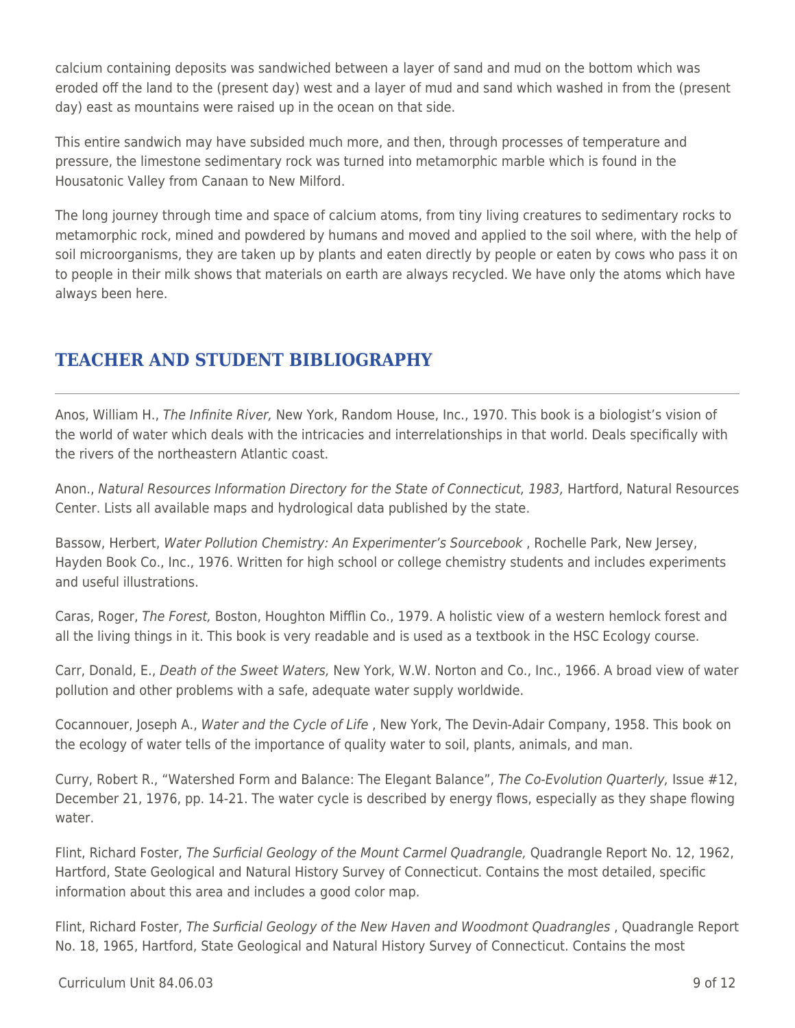calcium containing deposits was sandwiched between a layer of sand and mud on the bottom which was eroded off the land to the (present day) west and a layer of mud and sand which washed in from the (present day) east as mountains were raised up in the ocean on that side.

This entire sandwich may have subsided much more, and then, through processes of temperature and pressure, the limestone sedimentary rock was turned into metamorphic marble which is found in the Housatonic Valley from Canaan to New Milford.

The long journey through time and space of calcium atoms, from tiny living creatures to sedimentary rocks to metamorphic rock, mined and powdered by humans and moved and applied to the soil where, with the help of soil microorganisms, they are taken up by plants and eaten directly by people or eaten by cows who pass it on to people in their milk shows that materials on earth are always recycled. We have only the atoms which have always been here.

## **TEACHER AND STUDENT BIBLIOGRAPHY**

Anos, William H., The Infinite River, New York, Random House, Inc., 1970. This book is a biologist's vision of the world of water which deals with the intricacies and interrelationships in that world. Deals specifically with the rivers of the northeastern Atlantic coast.

Anon., Natural Resources Information Directory for the State of Connecticut, 1983, Hartford, Natural Resources Center. Lists all available maps and hydrological data published by the state.

Bassow, Herbert, Water Pollution Chemistry: An Experimenter's Sourcebook, Rochelle Park, New Jersey, Hayden Book Co., Inc., 1976. Written for high school or college chemistry students and includes experiments and useful illustrations.

Caras, Roger, The Forest, Boston, Houghton Mifflin Co., 1979. A holistic view of a western hemlock forest and all the living things in it. This book is very readable and is used as a textbook in the HSC Ecology course.

Carr, Donald, E., Death of the Sweet Waters, New York, W.W. Norton and Co., Inc., 1966. A broad view of water pollution and other problems with a safe, adequate water supply worldwide.

Cocannouer, Joseph A., Water and the Cycle of Life , New York, The Devin-Adair Company, 1958. This book on the ecology of water tells of the importance of quality water to soil, plants, animals, and man.

Curry, Robert R., "Watershed Form and Balance: The Elegant Balance", The Co-Evolution Quarterly, Issue #12, December 21, 1976, pp. 14-21. The water cycle is described by energy flows, especially as they shape flowing water.

Flint, Richard Foster, The Surficial Geology of the Mount Carmel Quadrangle, Quadrangle Report No. 12, 1962, Hartford, State Geological and Natural History Survey of Connecticut. Contains the most detailed, specific information about this area and includes a good color map.

Flint, Richard Foster, The Surficial Geology of the New Haven and Woodmont Quadrangles, Quadrangle Report No. 18, 1965, Hartford, State Geological and Natural History Survey of Connecticut. Contains the most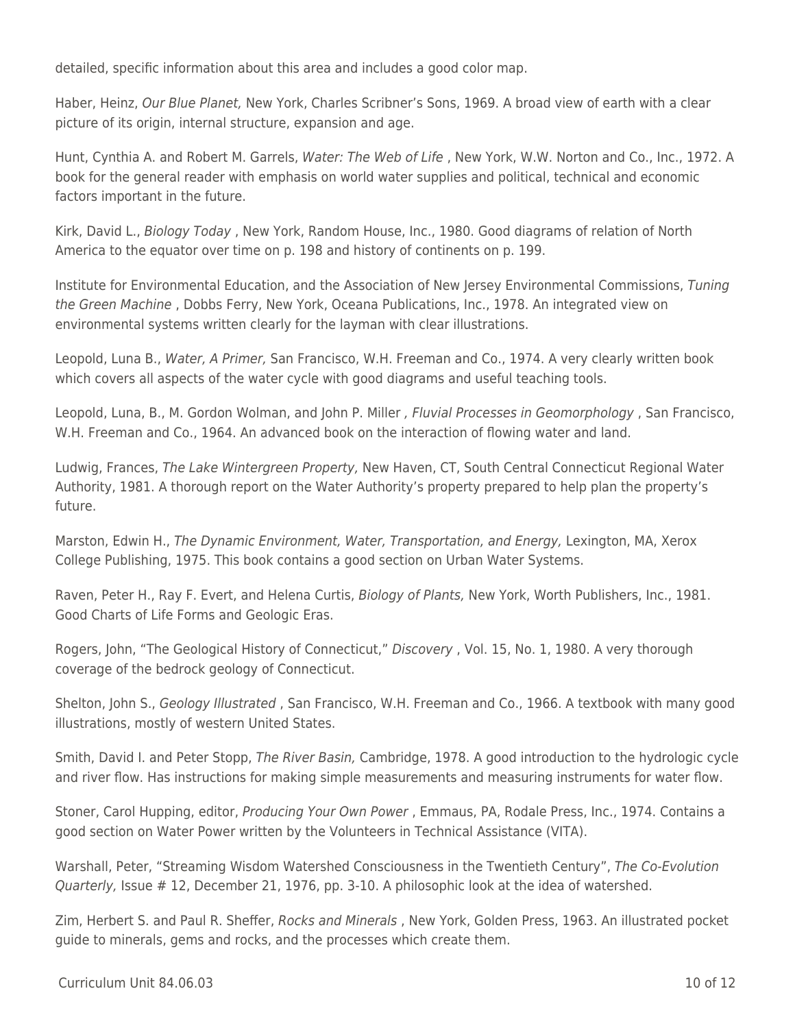detailed, specific information about this area and includes a good color map.

Haber, Heinz, Our Blue Planet, New York, Charles Scribner's Sons, 1969. A broad view of earth with a clear picture of its origin, internal structure, expansion and age.

Hunt, Cynthia A. and Robert M. Garrels, Water: The Web of Life , New York, W.W. Norton and Co., Inc., 1972. A book for the general reader with emphasis on world water supplies and political, technical and economic factors important in the future.

Kirk, David L., Biology Today , New York, Random House, Inc., 1980. Good diagrams of relation of North America to the equator over time on p. 198 and history of continents on p. 199.

Institute for Environmental Education, and the Association of New Jersey Environmental Commissions, Tuning the Green Machine , Dobbs Ferry, New York, Oceana Publications, Inc., 1978. An integrated view on environmental systems written clearly for the layman with clear illustrations.

Leopold, Luna B., Water, A Primer, San Francisco, W.H. Freeman and Co., 1974. A very clearly written book which covers all aspects of the water cycle with good diagrams and useful teaching tools.

Leopold, Luna, B., M. Gordon Wolman, and John P. Miller , Fluvial Processes in Geomorphology , San Francisco, W.H. Freeman and Co., 1964. An advanced book on the interaction of flowing water and land.

Ludwig, Frances, The Lake Wintergreen Property, New Haven, CT, South Central Connecticut Regional Water Authority, 1981. A thorough report on the Water Authority's property prepared to help plan the property's future.

Marston, Edwin H., The Dynamic Environment, Water, Transportation, and Energy, Lexington, MA, Xerox College Publishing, 1975. This book contains a good section on Urban Water Systems.

Raven, Peter H., Ray F. Evert, and Helena Curtis, Biology of Plants, New York, Worth Publishers, Inc., 1981. Good Charts of Life Forms and Geologic Eras.

Rogers, John, "The Geological History of Connecticut," Discovery , Vol. 15, No. 1, 1980. A very thorough coverage of the bedrock geology of Connecticut.

Shelton, John S., Geology Illustrated , San Francisco, W.H. Freeman and Co., 1966. A textbook with many good illustrations, mostly of western United States.

Smith, David I. and Peter Stopp, The River Basin, Cambridge, 1978. A good introduction to the hydrologic cycle and river flow. Has instructions for making simple measurements and measuring instruments for water flow.

Stoner, Carol Hupping, editor, Producing Your Own Power , Emmaus, PA, Rodale Press, Inc., 1974. Contains a good section on Water Power written by the Volunteers in Technical Assistance (VITA).

Warshall, Peter, "Streaming Wisdom Watershed Consciousness in the Twentieth Century", The Co-Evolution Quarterly, Issue # 12, December 21, 1976, pp. 3-10. A philosophic look at the idea of watershed.

Zim, Herbert S. and Paul R. Sheffer, Rocks and Minerals , New York, Golden Press, 1963. An illustrated pocket guide to minerals, gems and rocks, and the processes which create them.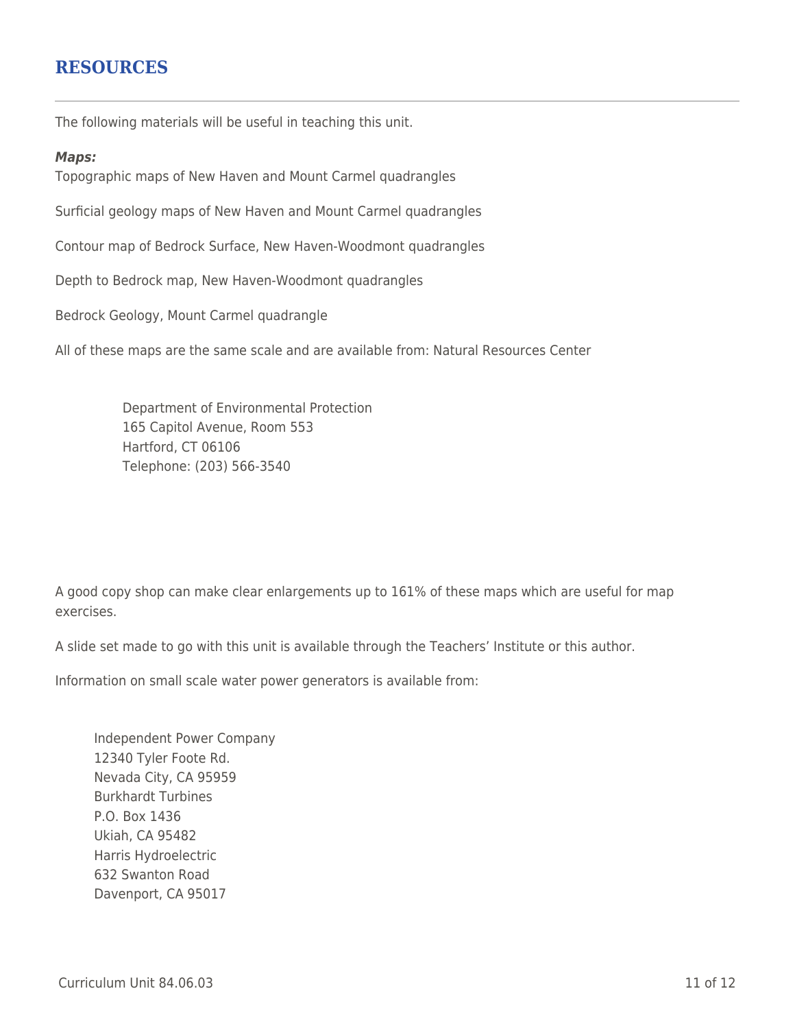### **RESOURCES**

The following materials will be useful in teaching this unit.

#### *Maps:*

Topographic maps of New Haven and Mount Carmel quadrangles

Surficial geology maps of New Haven and Mount Carmel quadrangles

Contour map of Bedrock Surface, New Haven-Woodmont quadrangles

Depth to Bedrock map, New Haven-Woodmont quadrangles

Bedrock Geology, Mount Carmel quadrangle

All of these maps are the same scale and are available from: Natural Resources Center

Department of Environmental Protection 165 Capitol Avenue, Room 553 Hartford, CT 06106 \_\_\_\_ Telephone: (203) 566-3540

A good copy shop can make clear enlargements up to 161% of these maps which are useful for map exercises.

A slide set made to go with this unit is available through the Teachers' Institute or this author.

Information on small scale water power generators is available from:

Independent Power Company 12340 Tyler Foote Rd. Nevada City, CA 95959 Burkhardt Turbines P.O. Box 1436 Ukiah, CA 95482 Harris Hydroelectric 632 Swanton Road Davenport, CA 95017